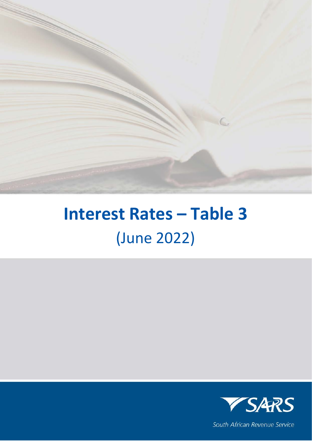

## **Interest Rates – Table 3** (June 2022)



South African Revenue Service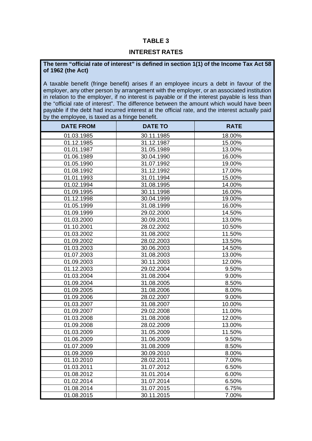## **TABLE 3**

## **INTEREST RATES**

## **The term "official rate of interest" is defined in section 1(1) of the Income Tax Act 58 of 1962 (the Act)**

A taxable benefit (fringe benefit) arises if an employee incurs a debt in favour of the employer, any other person by arrangement with the employer, or an associated institution in relation to the employer, if no interest is payable or if the interest payable is less than the "official rate of interest". The difference between the amount which would have been payable if the debt had incurred interest at the official rate, and the interest actually paid by the employee, is taxed as a fringe benefit.

| <b>DATE FROM</b> | <b>DATE TO</b> | <b>RATE</b> |
|------------------|----------------|-------------|
| 01.03.1985       | 30.11.1985     | 18.00%      |
| 01.12.1985       | 31.12.1987     | 15.00%      |
| 01.01.1987       | 31.05.1989     | 13.00%      |
| 01.06.1989       | 30.04.1990     | 16.00%      |
| 01.05.1990       | 31.07.1992     | 19.00%      |
| 01.08.1992       | 31.12.1992     | 17.00%      |
| 01.01.1993       | 31.01.1994     | 15.00%      |
| 01.02.1994       | 31.08.1995     | 14.00%      |
| 01.09.1995       | 30.11.1998     | 16.00%      |
| 01.12.1998       | 30.04.1999     | 19.00%      |
| 01.05.1999       | 31.08.1999     | 16.00%      |
| 01.09.1999       | 29.02.2000     | 14.50%      |
| 01.03.2000       | 30.09.2001     | 13.00%      |
| 01.10.2001       | 28.02.2002     | 10.50%      |
| 01.03.2002       | 31.08.2002     | 11.50%      |
| 01.09.2002       | 28.02.2003     | 13.50%      |
| 01.03.2003       | 30.06.2003     | 14.50%      |
| 01.07.2003       | 31.08.2003     | 13.00%      |
| 01.09.2003       | 30.11.2003     | 12.00%      |
| 01.12.2003       | 29.02.2004     | 9.50%       |
| 01.03.2004       | 31.08.2004     | 9.00%       |
| 01.09.2004       | 31.08.2005     | 8.50%       |
| 01.09.2005       | 31.08.2006     | 8.00%       |
| 01.09.2006       | 28.02.2007     | 9.00%       |
| 01.03.2007       | 31.08.2007     | 10.00%      |
| 01.09.2007       | 29.02.2008     | 11.00%      |
| 01.03.2008       | 31.08.2008     | 12.00%      |
| 01.09.2008       | 28.02.2009     | 13.00%      |
| 01.03.2009       | 31.05.2009     | 11.50%      |
| 01.06.2009       | 31.06.2009     | 9.50%       |
| 01.07.2009       | 31.08.2009     | 8.50%       |
| 01.09.2009       | 30.09.2010     | 8.00%       |
| 01.10.2010       | 28.02.2011     | 7.00%       |
| 01.03.2011       | 31.07.2012     | 6.50%       |
| 01.08.2012       | 31.01.2014     | 6.00%       |
| 01.02.2014       | 31.07.2014     | 6.50%       |
| 01.08.2014       | 31.07.2015     | 6.75%       |
| 01.08.2015       | 30.11.2015     | 7.00%       |